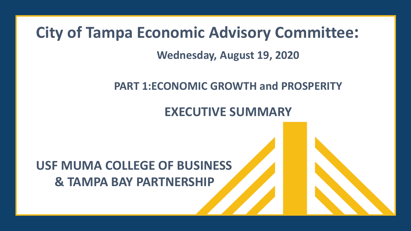# **City of Tampa Economic Advisory Committee:**

### **Wednesday, August 19, 2020**

## **PART 1:ECONOMIC GROWTH and PROSPERITY**

## **EXECUTIVE SUMMARY**

# **USF MUMA COLLEGE OF BUSINESS & TAMPA BAY PARTNERSHIP**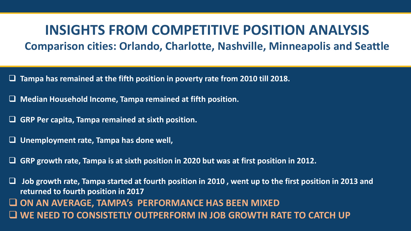## **INSIGHTS FROM COMPETITIVE POSITION ANALYSIS**

### **Comparison cities: Orlando, Charlotte, Nashville, Minneapolis and Seattle**

- ❑ **Tampa has remained at the fifth position in poverty rate from 2010 till 2018.**
- ❑ **Median Household Income, Tampa remained at fifth position.**
- ❑ **GRP Per capita, Tampa remained at sixth position.**
- ❑ **Unemployment rate, Tampa has done well,**
- ❑ **GRP growth rate, Tampa is at sixth position in 2020 but was at first position in 2012.**

❑ **Job growth rate, Tampa started at fourth position in 2010 , went up to the first position in 2013 and returned to fourth position in 2017** ❑ **ON AN AVERAGE, TAMPA's PERFORMANCE HAS BEEN MIXED** ❑ **WE NEED TO CONSISTETLY OUTPERFORM IN JOB GROWTH RATE TO CATCH UP**